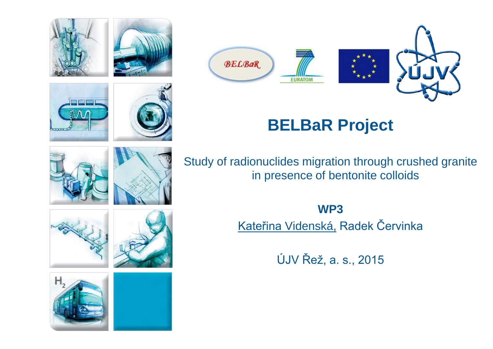

RA







# **BELBaR Project**

Study of radionuclides migration through crushed granite in presence of bentonite colloids

> **WP3** Kateřina Videnská, Radek Červinka

> > ÚJV Řež, a. s., 2015











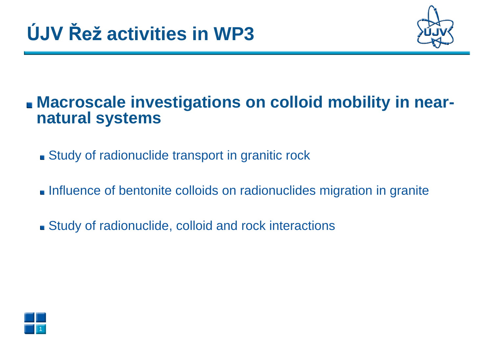

### **In Macroscale investigations on colloid mobility in near**natural systems

- Study of radionuclide transport in granitic rock
- Influence of bentonite colloids on radionuclides migration in granite
- Study of radionuclide, colloid and rock interactions

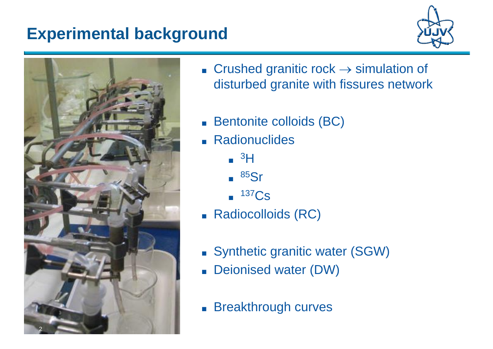## **Experimental background**





- **Crushed granitic rock**  $\rightarrow$  **simulation of** disturbed granite with fissures network
- Bentonite colloids (BC)
- Radionuclides
	- <sup>3</sup>H
	- <sup>85</sup>Sr
	- <sup>137</sup>Cs
- Radiocolloids (RC)
- Synthetic granitic water (SGW)
- Deionised water (DW)
- Breakthrough curves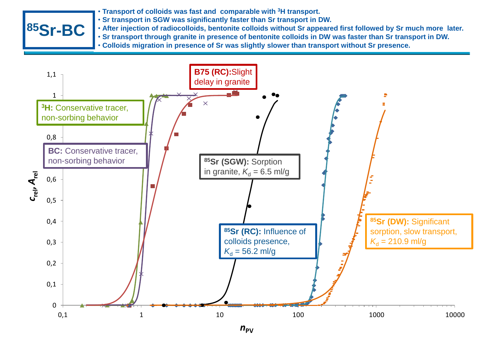- **Transport of colloids was fast and comparable with <sup>3</sup>H transport.**
- **Sr transport in SGW was significantly faster than Sr transport in DW.**
- **85Sr-BC**  $\cdot$  Struttlished the set was set and **SSS** • **After injection of radiocolloids, bentonite colloids without Sr appeared first followed by Sr much more later.**
	- . Sr transport through granite in presence of bentonite colloids in DW was faster than Sr transport in DW.
	- **Colloids migration in presence of Sr was slightly slower than transport without Sr presence.**

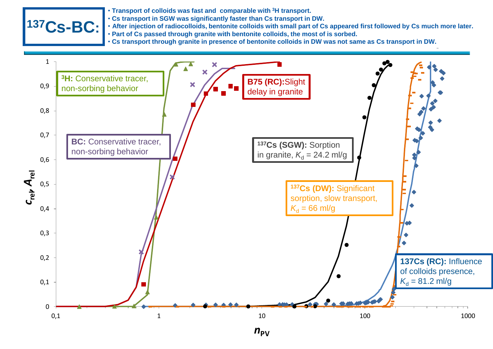

- **Transport of colloids was fast and comparable with <sup>3</sup>H transport.**
- **Cs transport in SGW was significantly faster than Cs transport in DW.**
- **137Cs-bentonite colloids-granite After injection of radiocolloids, bentonite colloids with small part of Cs appeared first followed by Cs much more later.** • **Part of Cs passed through granite with bentonite colloids, the most of is sorbed.**
	- . Cs transport through granite in presence of bentonite colloids in DW was not same as Cs transport in DW.

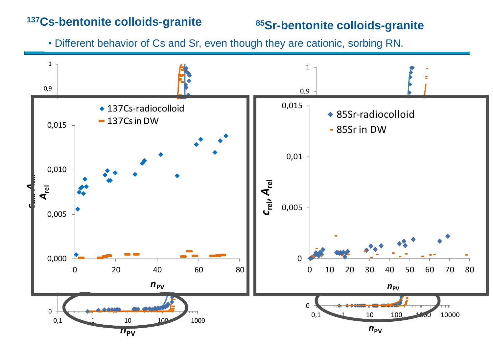#### **<sup>137</sup>Cs-bentonite colloids-granite**

#### **<sup>85</sup>Sr-bentonite colloids-granite**

• Different behavior of Cs and Sr, even though they are cationic, sorbing RN.

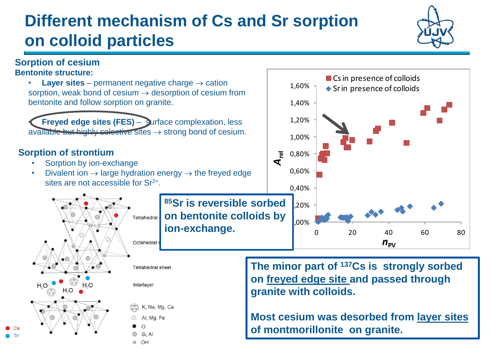# **Different mechanism of Cs and Sr sorption on colloid particles**

#### **Sorption of cesium Bentonite structure:**

**Layer sites** – permanent negative charge  $\rightarrow$  cation sorption, weak bond of cesium  $\rightarrow$  desorption of cesium from bentonite and follow sorption on granite.

• **Freyed edge sites (FES)** – surface complexation, less available but highly selective sites  $\rightarrow$  strong bond of cesium.

#### **Sorption of strontium**

H.O

- Sorption by ion-exchange
- Divalent ion  $\rightarrow$  large hydration energy  $\rightarrow$  the freyed edge sites are not accessible for  $Sr^{2+}$ .

**<sup>85</sup>Sr is reversible sorbed on bentonite colloids by**  Tetrahedral **ion-exchange.**

**Tetrahedral sheet** 

Interlayer

K, Na, Mg, Ca Al. Ma. Fe

Si Al © OH

**The minor part of <sup>137</sup>Cs is strongly sorbed on freyed edge site and passed through granite with colloids.**

**Most cesium was desorbed from layer sites of montmorillonite on granite.**



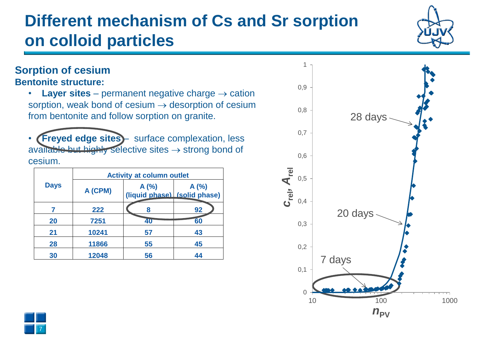# **Different mechanism of Cs and Sr sorption on colloid particles**

#### **Sorption of cesium Bentonite structure:**

- **Layer sites** permanent negative charge  $\rightarrow$  cation sorption, weak bond of cesium  $\rightarrow$  desorption of cesium from bentonite and follow sorption on granite.
- **(Freyed edge sites)** surface complexation, less available but highly selective sites  $\rightarrow$  strong bond of cesium.

| <b>Days</b> | <b>Activity at column outlet</b> |                                      |      | $\overline{e}$<br>0,5 |        |
|-------------|----------------------------------|--------------------------------------|------|-----------------------|--------|
|             | A (CPM)                          | A(%)<br>(liquid phase) (solid phase) | A(%) | $S$ rely<br>0,4       |        |
|             | 222                              | 8                                    | 92   |                       | 20     |
| 20          | 7251                             | 40                                   | 60   | 0,3                   |        |
| 21          | 10241                            | 57                                   | 43   |                       |        |
| 28          | 11866                            | 55                                   | 45   | 0,2                   |        |
| 30          | 12048                            | 56                                   | 44   |                       | ′ days |



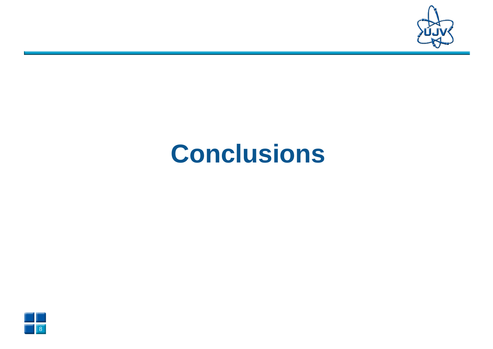

# **Conclusions**

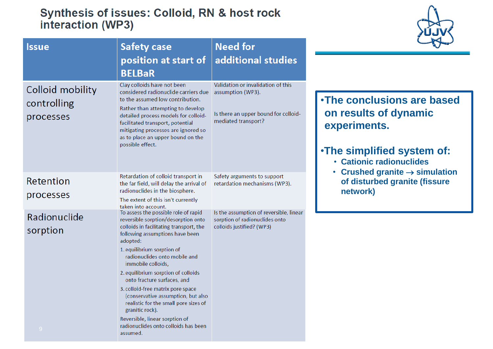#### Synthesis of issues: Colloid, RN & host rock interaction (WP3)



| <b>Issue</b>                                 | <b>Safety case</b>                                                                                                                                                                                                                                                                                                                                                                                                                                                                                                                                            | <b>Need for</b>                                                                                        |                                                                                                                                        |
|----------------------------------------------|---------------------------------------------------------------------------------------------------------------------------------------------------------------------------------------------------------------------------------------------------------------------------------------------------------------------------------------------------------------------------------------------------------------------------------------------------------------------------------------------------------------------------------------------------------------|--------------------------------------------------------------------------------------------------------|----------------------------------------------------------------------------------------------------------------------------------------|
|                                              | position at start of<br><b>BELBaR</b><br>Clay colloids have not been                                                                                                                                                                                                                                                                                                                                                                                                                                                                                          | additional studies<br>Validation or invalidation of this                                               |                                                                                                                                        |
| Colloid mobility<br>controlling<br>processes | considered radionuclide carriers due<br>to the assumed low contribution.<br>Rather than attempting to develop<br>detailed process models for colloid-<br>facilitated transport, potential<br>mitigating processes are ignored so<br>as to place an upper bound on the<br>possible effect.                                                                                                                                                                                                                                                                     | assumption (WP3).<br>Is there an upper bound for colloid-<br>mediated transport?                       | . The conclusions are based<br>on results of dynamic<br>experiments.<br>. The simplified system of:<br><b>· Cationic radionuclides</b> |
| Retention<br>processes                       | Retardation of colloid transport in<br>the far field, will delay the arrival of<br>radionuclides in the biosphere.<br>The extent of this isn't currently<br>taken into account.                                                                                                                                                                                                                                                                                                                                                                               | Safety arguments to support<br>retardation mechanisms (WP3).                                           | • Crushed granite $\rightarrow$ simulation<br>of disturbed granite (fissure<br>network)                                                |
| Radionuclide<br>sorption<br>$-9$             | To assess the possible role of rapid<br>reversible sorption/desorption onto<br>colloids in facilitating transport, the<br>following assumptions have been<br>adopted:<br>1. equilibrium sorption of<br>radionuclides onto mobile and<br>immobile colloids,<br>2. equilibrium sorption of colloids<br>onto fracture surfaces, and<br>3. colloid-free matrix pore space<br>(conservative assumption, but also<br>realistic for the small pore sizes of<br>granitic rock).<br>Reversible, linear sorption of<br>radionuclides onto colloids has been<br>assumed. | Is the assumption of reversible, linear<br>sorption of radionuclides onto<br>colloids justified? (WP3) |                                                                                                                                        |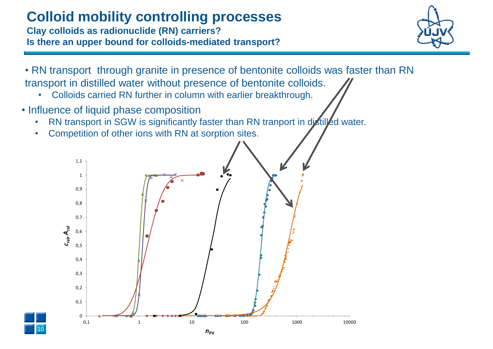# **Colloid mobility controlling processes**

**Clay colloids as radionuclide (RN) carriers? Is there an upper bound for colloids-mediated transport?**



- RN transport through granite in presence of bentonite colloids was faster than RN transport in distilled water without presence of bentonite colloids.
	- Colloids carried RN further in column with earlier breakthrough.
- Influence of liquid phase composition

10

- RN transport in SGW is significantly faster than RN tranport in distilled water.
- Competition of other ions with RN at sorption sites.

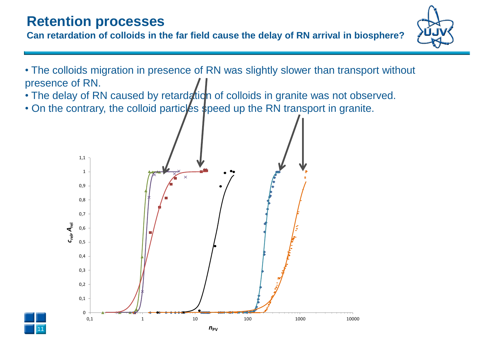# **Retention processes**

**Can retardation of colloids in the far field cause the delay of RN arrival in biosphere?** 



- The colloids migration in presence of RN was slightly slower than transport without presence of RN.
- The delay of RN caused by retardation of colloids in granite was not observed.
- On the contrary, the colloid particles speed up the RN transport in granite.

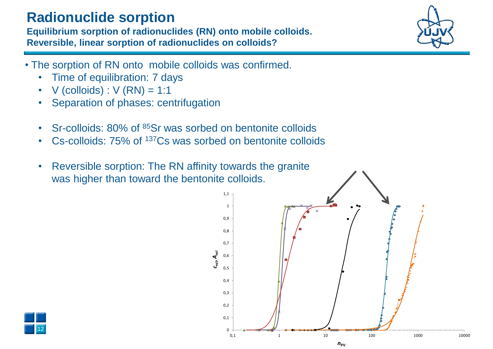### **Radionuclide sorption**

**Equilibrium sorption of radionuclides (RN) onto mobile colloids. Reversible, linear sorption of radionuclides on colloids?**

- The sorption of RN onto mobile colloids was confirmed.
	- Time of equilibration: 7 days
	- $V$  (colloids) :  $V$  (RN) = 1:1
	- Separation of phases: centrifugation
	- Sr-colloids: 80% of <sup>85</sup>Sr was sorbed on bentonite colloids
	- Cs-colloids: 75% of <sup>137</sup>Cs was sorbed on bentonite colloids
	- Reversible sorption: The RN affinity towards the granite was higher than toward the bentonite colloids.



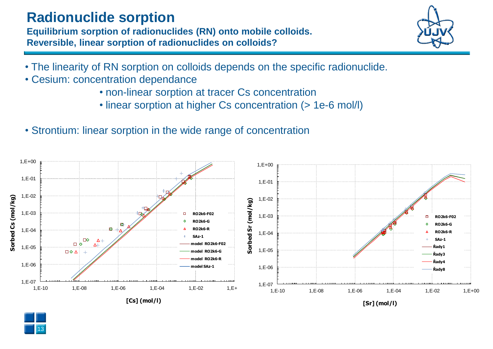#### **Radionuclide sorption**

**Equilibrium sorption of radionuclides (RN) onto mobile colloids. Reversible, linear sorption of radionuclides on colloids?**



- The linearity of RN sorption on colloids depends on the specific radionuclide.
- Cesium: concentration dependance

13

- non-linear sorption at tracer Cs concentration
- linear sorption at higher Cs concentration (> 1e-6 mol/l)
- Strontium: linear sorption in the wide range of concentration